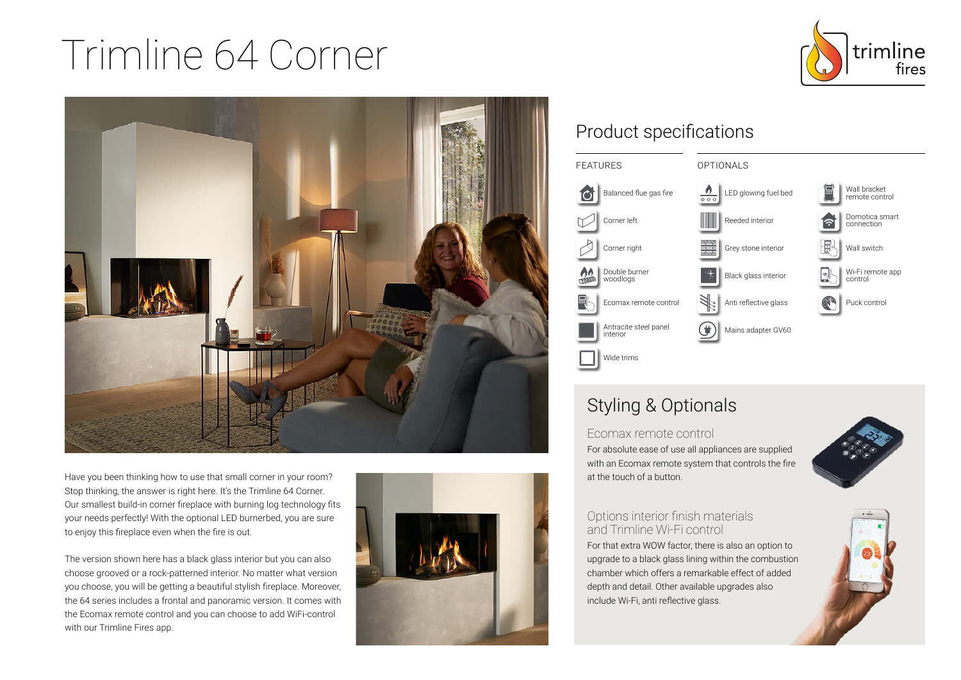# Trimline 64 Corner





Have you been thinking how to use that small corner in your room? Stop thinking, the answer is right here. It's the Trimline 64 Corner. Our smallest build-in corner fireplace with burning log technology fits your needs perfectly! With the optional LED burnerbed, you are sure to enjoy this fireplace even when the fire is out.

The version shown here has a black glass interior but you can also choose grooved or a rock-patterned interior. No matter what version you choose, you will be getting a beautiful stylish fireplace. Moreover, the 64 series includes a frontal and panoramic version. It comes with the Ecomax remote control and you can choose to add WiFi-control with our Trimline Fires app.



## Product specifications



## Styling & Optionals

at the touch of a button.

Ecomax remote control For absolute ease of use all appliances are supplied with an Ecomax remote system that controls the fire



#### Options interior finish materials and Trimline Wi-Fi control

For that extra WOW factor, there is also an option to upgrade to a black glass lining within the combustion chamber which offers a remarkable effect of added depth and detail. Other available upgrades also include Wi-Fi, anti reflective glass.